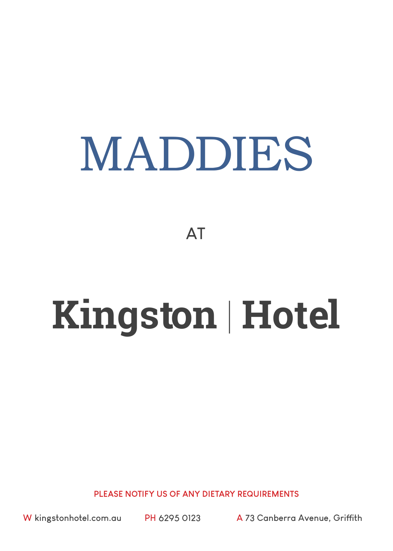# MADDIES

**AT**

# **Kingston** | **Hotel**

**PLEASE NOTIFY US OF ANY DIETARY REQUIREMENTS** 

**W kingstonhotel.com.au PH 6295 0123 A 73 Canberra Avenue, Griffith**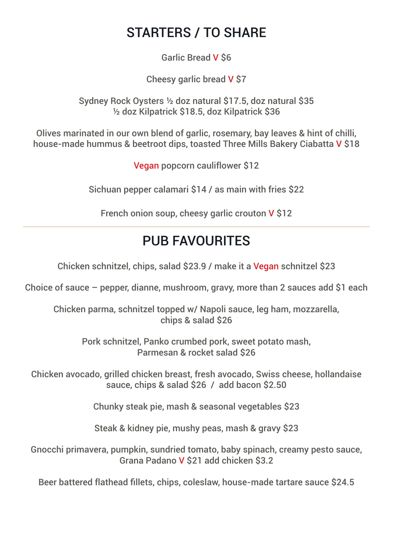#### STARTERS / TO SHARE

Garlic Bread V \$6

Cheesy garlic bread V \$7

Sydney Rock Oysters ½ doz natural \$17.5, doz natural \$35 ½ doz Kilpatrick \$18.5, doz Kilpatrick \$36

Olives marinated in our own blend of garlic, rosemary, bay leaves & hint of chilli, house-made hummus & beetroot dips, toasted Three Mills Bakery Ciabatta V \$18

Vegan popcorn cauliflower \$12

Sichuan pepper calamari \$14 / as main with fries \$22

French onion soup, cheesy garlic crouton V \$12

### PUR FAVOURITES

Chicken schnitzel, chips, salad \$23.9 / make it a Vegan schnitzel \$23

Choice of sauce – pepper, dianne, mushroom, gravy, more than 2 sauces add \$1 each

Chicken parma, schnitzel topped w/ Napoli sauce, leg ham, mozzarella, chips & salad \$26

Pork schnitzel, Panko crumbed pork, sweet potato mash, Parmesan & rocket salad \$26

Chicken avocado, grilled chicken breast, fresh avocado, Swiss cheese, hollandaise sauce, chips & salad \$26 / add bacon \$2.50

Chunky steak pie, mash & seasonal vegetables \$23

Steak & kidney pie, mushy peas, mash & gravy \$23

Gnocchi primavera, pumpkin, sundried tomato, baby spinach, creamy pesto sauce, Grana Padano V \$21 add chicken \$3.2

Beer battered flathead fillets, chips, coleslaw, house-made tartare sauce \$24.5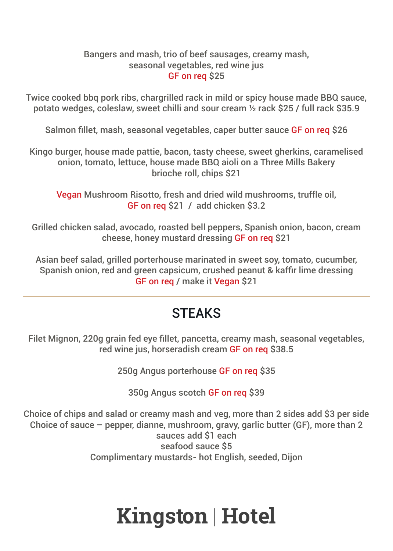#### Bangers and mash, trio of beef sausages, creamy mash, seasonal vegetables, red wine jus GF on req \$25

Twice cooked bbq pork ribs, chargrilled rack in mild or spicy house made BBQ sauce, potato wedges, coleslaw, sweet chilli and sour cream ½ rack \$25 / full rack \$35.9

Salmon fillet, mash, seasonal vegetables, caper butter sauce GF on reg \$26

Kingo burger, house made pattie, bacon, tasty cheese, sweet gherkins, caramelised onion, tomato, lettuce, house made BBQ aioli on a Three Mills Bakery brioche roll, chips \$21

Vegan Mushroom Risotto, fresh and dried wild mushrooms, truffle oil, GF on req \$21 / add chicken \$3.2

Grilled chicken salad, avocado, roasted bell peppers, Spanish onion, bacon, cream cheese, honey mustard dressing GF on req \$21

Asian beef salad, grilled porterhouse marinated in sweet soy, tomato, cucumber, Spanish onion, red and green capsicum, crushed peanut & kaffir lime dressing GF on req / make it Vegan \$21

### **STFAKS**

Filet Mignon, 220g grain fed eye fillet, pancetta, creamy mash, seasonal vegetables, red wine jus, horseradish cream GF on req \$38.5

250g Angus porterhouse GF on req \$35

350g Angus scotch GF on req \$39

Choice of chips and salad or creamy mash and veg, more than 2 sides add \$3 per side Choice of sauce – pepper, dianne, mushroom, gravy, garlic butter (GF), more than 2 sauces add \$1 each seafood sauce \$5 Complimentary mustards- hot English, seeded, Dijon

# **Kingston** | **Hotel**